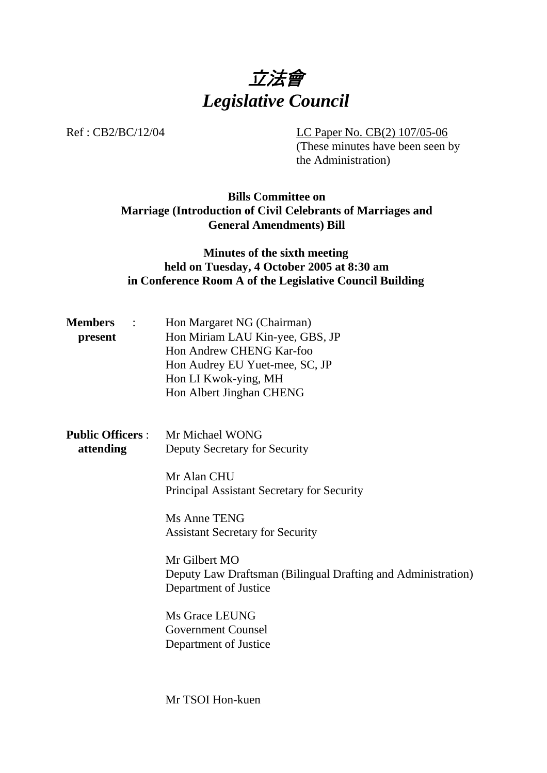

Ref : CB2/BC/12/04 LC Paper No. CB(2) 107/05-06

(These minutes have been seen by the Administration)

## **Bills Committee on Marriage (Introduction of Civil Celebrants of Marriages and General Amendments) Bill**

### **Minutes of the sixth meeting held on Tuesday, 4 October 2005 at 8:30 am in Conference Room A of the Legislative Council Building**

| <b>Members</b> | $\mathcal{L}$ | Hon Margaret NG (Chairman)      |
|----------------|---------------|---------------------------------|
| present        |               | Hon Miriam LAU Kin-yee, GBS, JP |
|                |               | Hon Andrew CHENG Kar-foo        |
|                |               | Hon Audrey EU Yuet-mee, SC, JP  |
|                |               | Hon LI Kwok-ying, MH            |
|                |               | Hon Albert Jinghan CHENG        |

| <b>Public Officers:</b> | Mr Michael WONG               |
|-------------------------|-------------------------------|
| attending               | Deputy Secretary for Security |

Mr Alan CHU Principal Assistant Secretary for Security

Ms Anne TENG Assistant Secretary for Security

Mr Gilbert MO Deputy Law Draftsman (Bilingual Drafting and Administration) Department of Justice

Ms Grace LEUNG Government Counsel Department of Justice

Mr TSOI Hon-kuen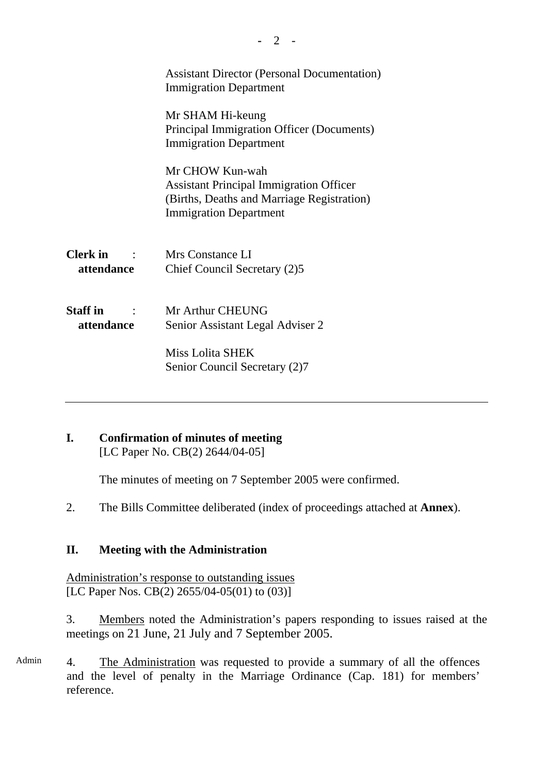|                               | <b>Assistant Director (Personal Documentation)</b><br><b>Immigration Department</b>                                                              |  |
|-------------------------------|--------------------------------------------------------------------------------------------------------------------------------------------------|--|
|                               | Mr SHAM Hi-keung<br>Principal Immigration Officer (Documents)<br><b>Immigration Department</b>                                                   |  |
|                               | Mr CHOW Kun-wah<br><b>Assistant Principal Immigration Officer</b><br>(Births, Deaths and Marriage Registration)<br><b>Immigration Department</b> |  |
| <b>Clerk</b> in<br>attendance | Mrs Constance LI<br>Chief Council Secretary (2)5                                                                                                 |  |
| <b>Staff</b> in<br>attendance | Mr Arthur CHEUNG<br>Senior Assistant Legal Adviser 2<br><b>Miss Lolita SHEK</b>                                                                  |  |
|                               | Senior Council Secretary (2)7                                                                                                                    |  |

# **I. Confirmation of minutes of meeting**

[LC Paper No. CB(2) 2644/04-05]

The minutes of meeting on 7 September 2005 were confirmed.

2. The Bills Committee deliberated (index of proceedings attached at **Annex**).

# **II. Meeting with the Administration**

Administration's response to outstanding issues [LC Paper Nos. CB(2) 2655/04-05(01) to (03)]

3. Members noted the Administration's papers responding to issues raised at the meetings on 21 June, 21 July and 7 September 2005.

Admin 4. The Administration was requested to provide a summary of all the offences and the level of penalty in the Marriage Ordinance (Cap. 181) for members' reference.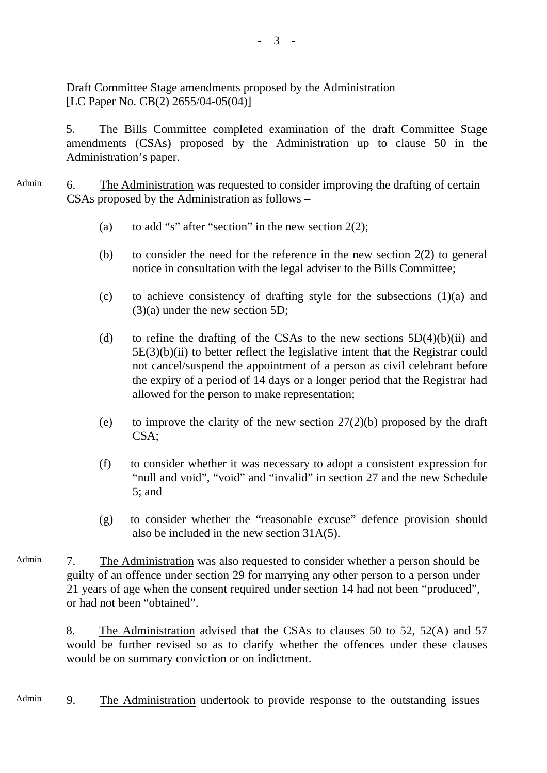5. The Bills Committee completed examination of the draft Committee Stage amendments (CSAs) proposed by the Administration up to clause 50 in the Administration's paper.

Admin 6. The Administration was requested to consider improving the drafting of certain CSAs proposed by the Administration as follows –

- (a) to add "s" after "section" in the new section  $2(2)$ ;
- (b) to consider the need for the reference in the new section  $2(2)$  to general notice in consultation with the legal adviser to the Bills Committee;
- (c) to achieve consistency of drafting style for the subsections (1)(a) and (3)(a) under the new section 5D;
- (d) to refine the drafting of the CSAs to the new sections  $5D(4)(b)(ii)$  and  $5E(3)(b)(ii)$  to better reflect the legislative intent that the Registrar could not cancel/suspend the appointment of a person as civil celebrant before the expiry of a period of 14 days or a longer period that the Registrar had allowed for the person to make representation;
- (e) to improve the clarity of the new section  $27(2)(b)$  proposed by the draft CSA;
- (f) to consider whether it was necessary to adopt a consistent expression for "null and void", "void" and "invalid" in section 27 and the new Schedule 5; and
- (g) to consider whether the "reasonable excuse" defence provision should also be included in the new section 31A(5).
- Admin 7. The Administration was also requested to consider whether a person should be guilty of an offence under section 29 for marrying any other person to a person under 21 years of age when the consent required under section 14 had not been "produced", or had not been "obtained".

8. The Administration advised that the CSAs to clauses 50 to 52, 52(A) and 57 would be further revised so as to clarify whether the offences under these clauses would be on summary conviction or on indictment.

Admin 9. The Administration undertook to provide response to the outstanding issues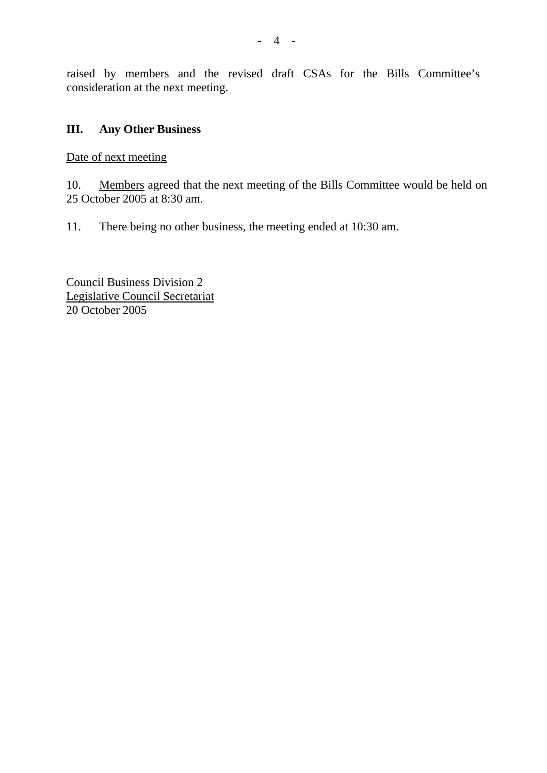raised by members and the revised draft CSAs for the Bills Committee's consideration at the next meeting.

### **III. Any Other Business**

Date of next meeting

10. Members agreed that the next meeting of the Bills Committee would be held on 25 October 2005 at 8:30 am.

11. There being no other business, the meeting ended at 10:30 am.

Council Business Division 2 Legislative Council Secretariat 20 October 2005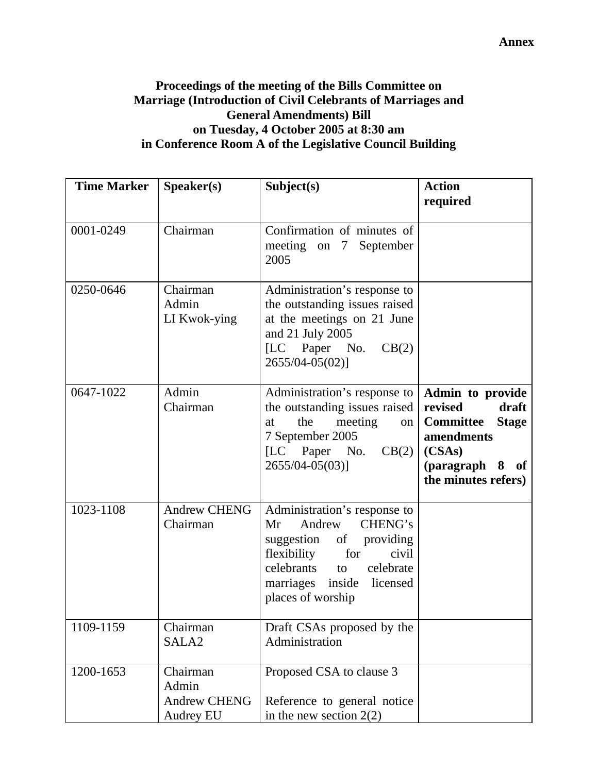**Annex**

### **Proceedings of the meeting of the Bills Committee on Marriage (Introduction of Civil Celebrants of Marriages and General Amendments) Bill on Tuesday, 4 October 2005 at 8:30 am in Conference Room A of the Legislative Council Building**

| <b>Time Marker</b> | Speaker(s)                                            | Subject(s)                                                                                                                                                                                     | <b>Action</b><br>required                                                                                                                  |
|--------------------|-------------------------------------------------------|------------------------------------------------------------------------------------------------------------------------------------------------------------------------------------------------|--------------------------------------------------------------------------------------------------------------------------------------------|
| 0001-0249          | Chairman                                              | Confirmation of minutes of<br>meeting on 7 September<br>2005                                                                                                                                   |                                                                                                                                            |
| 0250-0646          | Chairman<br>Admin<br>LI Kwok-ying                     | Administration's response to<br>the outstanding issues raised<br>at the meetings on 21 June<br>and 21 July 2005<br>[LC Paper No.<br>CB(2)<br>$2655/04 - 05(02)$ ]                              |                                                                                                                                            |
| 0647-1022          | Admin<br>Chairman                                     | Administration's response to<br>the outstanding issues raised<br>meeting<br>the<br>at<br>$\circ$ n<br>7 September 2005<br>[LC Paper No. $CB(2)$ ]<br>2655/04-05(03)]                           | Admin to provide<br>revised<br>draft<br><b>Committee</b><br><b>Stage</b><br>amendments<br>(CSAs)<br>(paragraph 8 of<br>the minutes refers) |
| 1023-1108          | <b>Andrew CHENG</b><br>Chairman                       | Administration's response to<br>CHENG's<br>Andrew<br>Mr<br>suggestion of providing<br>for<br>flexibility<br>civil<br>celebrants to celebrate<br>marriages inside licensed<br>places of worship |                                                                                                                                            |
| 1109-1159          | Chairman<br>SALA <sub>2</sub>                         | Draft CSAs proposed by the<br>Administration                                                                                                                                                   |                                                                                                                                            |
| 1200-1653          | Chairman<br>Admin<br><b>Andrew CHENG</b><br>Audrey EU | Proposed CSA to clause 3<br>Reference to general notice<br>in the new section $2(2)$                                                                                                           |                                                                                                                                            |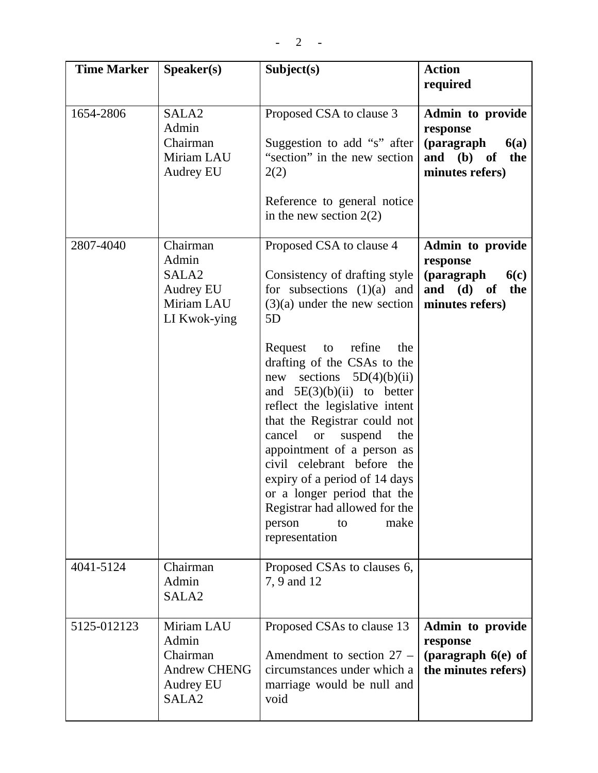| <b>Time Marker</b> | Speaker(s)                                                                               | Subject(s)                                                                                                                                                                                                                                                                                                                                                                                                                                                                                                                                                                       | <b>Action</b><br>required                                                                  |
|--------------------|------------------------------------------------------------------------------------------|----------------------------------------------------------------------------------------------------------------------------------------------------------------------------------------------------------------------------------------------------------------------------------------------------------------------------------------------------------------------------------------------------------------------------------------------------------------------------------------------------------------------------------------------------------------------------------|--------------------------------------------------------------------------------------------|
| 1654-2806          | SALA <sub>2</sub><br>Admin<br>Chairman<br>Miriam LAU<br><b>Audrey EU</b>                 | Proposed CSA to clause 3<br>Suggestion to add "s" after<br>"section" in the new section<br>2(2)<br>Reference to general notice<br>in the new section $2(2)$                                                                                                                                                                                                                                                                                                                                                                                                                      | Admin to provide<br>response<br>(paragraph<br>6(a)<br>and (b) of<br>the<br>minutes refers) |
| 2807-4040          | Chairman<br>Admin<br>SALA <sub>2</sub><br><b>Audrey EU</b><br>Miriam LAU<br>LI Kwok-ying | Proposed CSA to clause 4<br>Consistency of drafting style<br>for subsections $(1)(a)$ and<br>$(3)(a)$ under the new section<br>5D<br>to refine<br>Request<br>the<br>drafting of the CSAs to the<br>new sections $5D(4)(b)(ii)$<br>and $5E(3)(b)(ii)$ to better<br>reflect the legislative intent<br>that the Registrar could not<br>cancel<br><b>or</b><br>suspend<br>the<br>appointment of a person as<br>civil celebrant before the<br>expiry of a period of 14 days<br>or a longer period that the<br>Registrar had allowed for the<br>make<br>person<br>to<br>representation | Admin to provide<br>response<br>(paragraph<br>6(c)<br>and (d) of<br>the<br>minutes refers) |
| 4041-5124          | Chairman<br>Admin<br>SALA <sub>2</sub>                                                   | Proposed CSAs to clauses 6,<br>7, 9 and 12                                                                                                                                                                                                                                                                                                                                                                                                                                                                                                                                       |                                                                                            |
| 5125-012123        | Miriam LAU<br>Admin<br>Chairman<br><b>Andrew CHENG</b><br>Audrey EU<br>SALA <sub>2</sub> | Proposed CSAs to clause 13<br>Amendment to section $27 -$<br>circumstances under which a<br>marriage would be null and<br>void                                                                                                                                                                                                                                                                                                                                                                                                                                                   | Admin to provide<br>response<br>(paragraph 6(e) of<br>the minutes refers)                  |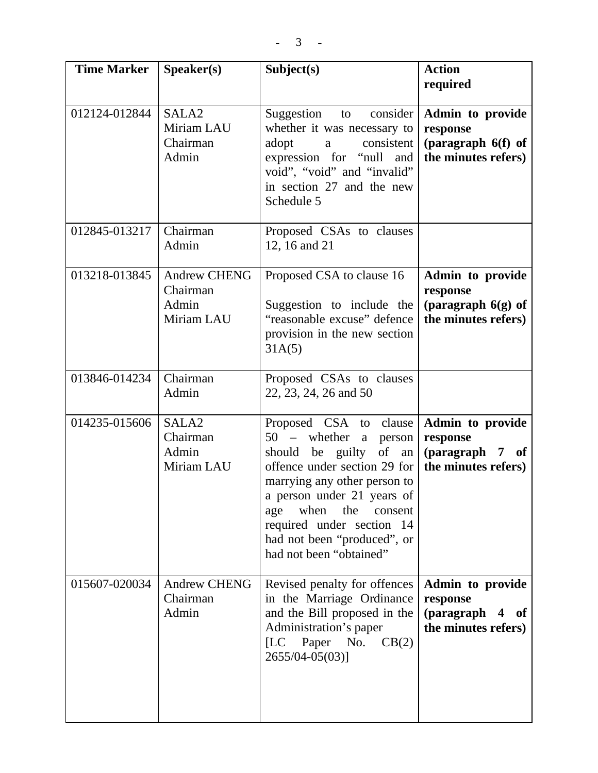| <b>Time Marker</b> | Speaker(s)                                             | Subject(s)                                                                                                                                                                                                                                                                                                 | <b>Action</b><br>required                                                   |
|--------------------|--------------------------------------------------------|------------------------------------------------------------------------------------------------------------------------------------------------------------------------------------------------------------------------------------------------------------------------------------------------------------|-----------------------------------------------------------------------------|
| 012124-012844      | SALA <sub>2</sub><br>Miriam LAU<br>Chairman<br>Admin   | Suggestion to consider<br>whether it was necessary to<br>adopt<br>consistent<br>a<br>expression for "null and<br>void", "void" and "invalid"<br>in section 27 and the new<br>Schedule 5                                                                                                                    | Admin to provide<br>response<br>(paragraph 6(f) of<br>the minutes refers)   |
| 012845-013217      | Chairman<br>Admin                                      | Proposed CSAs to clauses<br>12, 16 and 21                                                                                                                                                                                                                                                                  |                                                                             |
| 013218-013845      | <b>Andrew CHENG</b><br>Chairman<br>Admin<br>Miriam LAU | Proposed CSA to clause 16<br>Suggestion to include the<br>"reasonable excuse" defence<br>provision in the new section<br>31A(5)                                                                                                                                                                            | Admin to provide<br>response<br>(paragraph $6(g)$ of<br>the minutes refers) |
| 013846-014234      | Chairman<br>Admin                                      | Proposed CSAs to clauses<br>22, 23, 24, 26 and 50                                                                                                                                                                                                                                                          |                                                                             |
| 014235-015606      | SALA <sub>2</sub><br>Chairman<br>Admin<br>Miriam LAU   | Proposed CSA to clause<br>$50 -$ whether<br>a person<br>should be guilty<br>of<br>an<br>offence under section 29 for<br>marrying any other person to<br>a person under 21 years of<br>when<br>the<br>consent<br>age<br>required under section 14<br>had not been "produced", or<br>had not been "obtained" | Admin to provide<br>response<br>(paragraph 7 of<br>the minutes refers)      |
| 015607-020034      | <b>Andrew CHENG</b><br>Chairman<br>Admin               | Revised penalty for offences<br>in the Marriage Ordinance<br>and the Bill proposed in the<br>Administration's paper<br>Paper No.<br>CB(2)<br>[LC]<br>2655/04-05(03)]                                                                                                                                       | Admin to provide<br>response<br>(paragraph 4 of<br>the minutes refers)      |